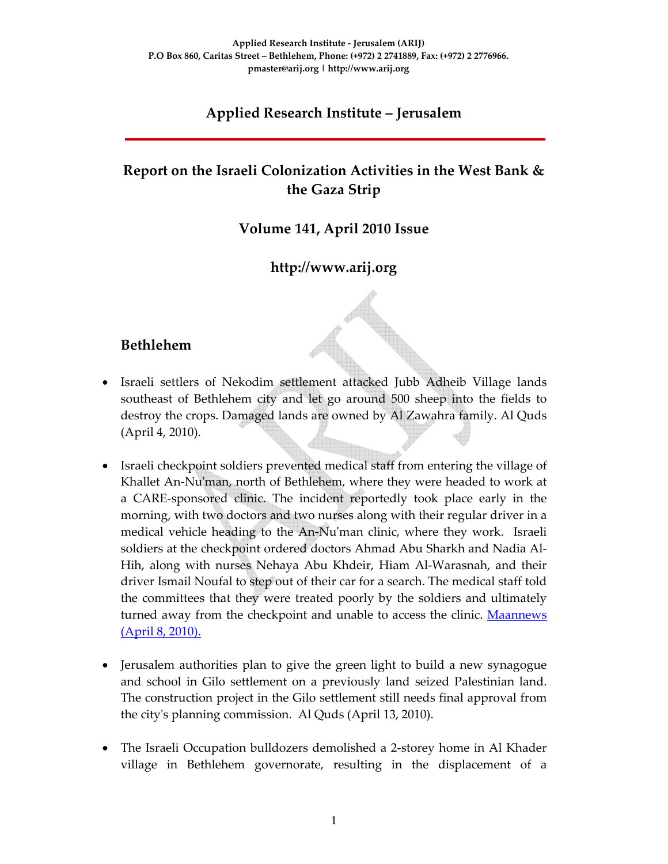## **Applied Research Institute – Jerusalem**

## **Report on the Israeli Colonization Activities in the West Bank & the Gaza Strip**

### **Volume 141, April 2010 Issue**

## **http://www.arij.org**

### **Bethlehem**

- Israeli settlers of Nekodim settlement attacked Jubb Adheib Village lands southeast of Bethlehem city and let go around 500 sheep into the fields to destroy the crops. Damaged lands are owned by Al Zawahra family. Al Quds (April 4, 2010).
- Israeli checkpoint soldiers prevented medical staff from entering the village of Khallet An-Nu'man, north of Bethlehem, where they were headed to work at a CARE‐sponsored clinic. The incident reportedly took place early in the morning, with two doctors and two nurses along with their regular driver in a medical vehicle heading to the An-Nu'man clinic, where they work. Israeli soldiers at the checkpoint ordered doctors Ahmad Abu Sharkh and Nadia Al‐ Hih, along with nurses Nehaya Abu Khdeir, Hiam Al‐Warasnah, and their driver Ismail Noufal to step out of their car for a search. The medical staff told the committees that they were treated poorly by the soldiers and ultimately turned away from the checkpoint and unable to access the clinic. Maannews (April 8, 2010).
- Jerusalem authorities plan to give the green light to build a new synagogue and school in Gilo settlement on a previously land seized Palestinian land. The construction project in the Gilo settlement still needs final approval from the cityʹs planning commission. Al Quds (April 13, 2010).
- The Israeli Occupation bulldozers demolished a 2‐storey home in Al Khader village in Bethlehem governorate, resulting in the displacement of a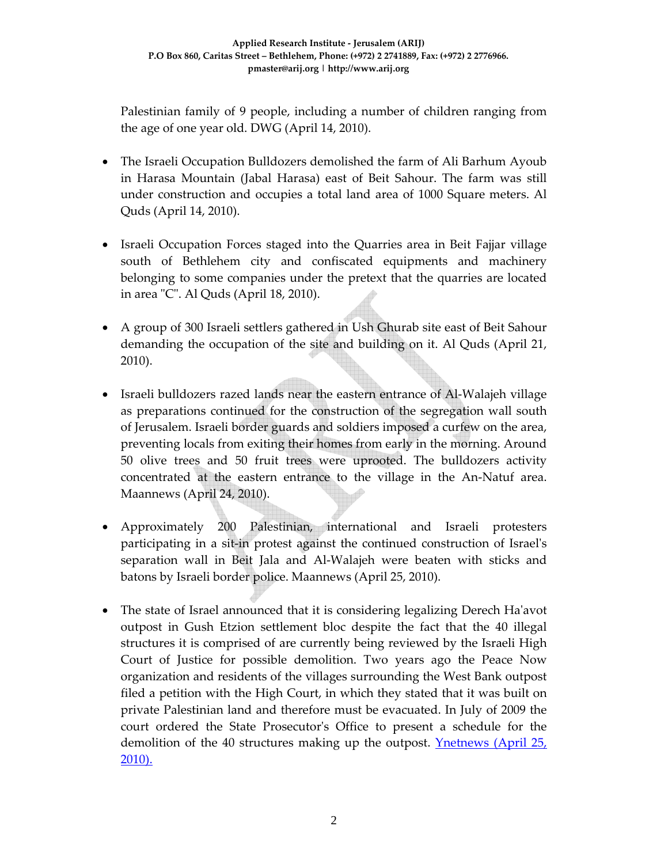Palestinian family of 9 people, including a number of children ranging from the age of one year old. DWG (April 14, 2010).

- The Israeli Occupation Bulldozers demolished the farm of Ali Barhum Ayoub in Harasa Mountain (Jabal Harasa) east of Beit Sahour. The farm was still under construction and occupies a total land area of 1000 Square meters. Al Quds (April 14, 2010).
- Israeli Occupation Forces staged into the Quarries area in Beit Fajjar village south of Bethlehem city and confiscated equipments and machinery belonging to some companies under the pretext that the quarries are located in area "C". Al Quds (April 18, 2010).
- A group of 300 Israeli settlers gathered in Ush Ghurab site east of Beit Sahour demanding the occupation of the site and building on it. Al Quds (April 21, 2010).
- Israeli bulldozers razed lands near the eastern entrance of Al-Walajeh village as preparations continued for the construction of the segregation wall south of Jerusalem. Israeli border guards and soldiers imposed a curfew on the area, preventing locals from exiting their homes from early in the morning. Around 50 olive trees and 50 fruit trees were uprooted. The bulldozers activity concentrated at the eastern entrance to the village in the An‐Natuf area. Maannews (April 24, 2010).
- Approximately 200 Palestinian, international and Israeli protesters participating in a sit‐in protest against the continued construction of Israelʹs separation wall in Beit Jala and Al‐Walajeh were beaten with sticks and batons by Israeli border police. Maannews (April 25, 2010).
- The state of Israel announced that it is considering legalizing Derech Ha'avot outpost in Gush Etzion settlement bloc despite the fact that the 40 illegal structures it is comprised of are currently being reviewed by the Israeli High Court of Justice for possible demolition. Two years ago the Peace Now organization and residents of the villages surrounding the West Bank outpost filed a petition with the High Court, in which they stated that it was built on private Palestinian land and therefore must be evacuated. In July of 2009 the court ordered the State Prosecutorʹs Office to present a schedule for the demolition of the 40 structures making up the outpost. Ynetnews (April 25, 2010).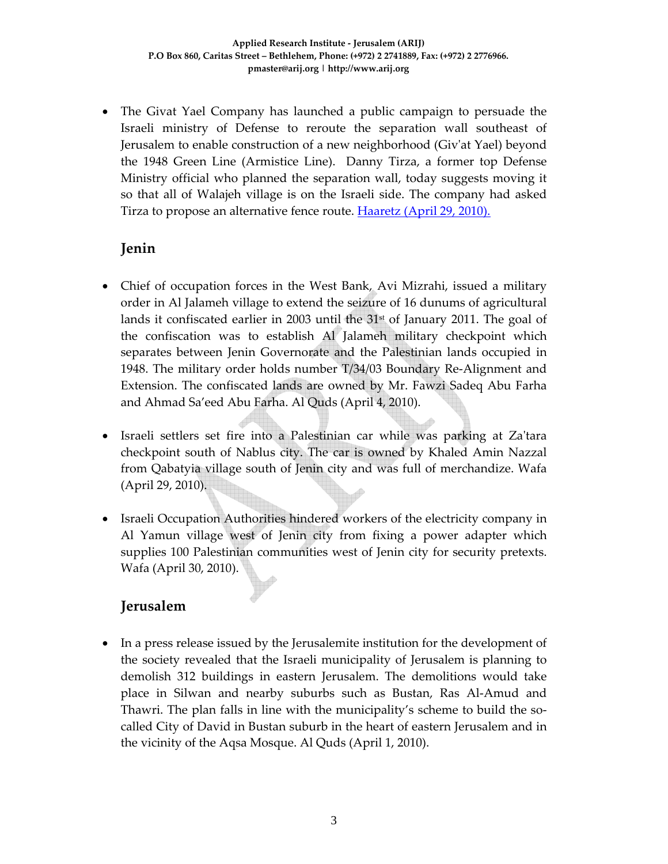• The Givat Yael Company has launched a public campaign to persuade the Israeli ministry of Defense to reroute the separation wall southeast of Jerusalem to enable construction of a new neighborhood (Givʹat Yael) beyond the 1948 Green Line (Armistice Line). Danny Tirza, a former top Defense Ministry official who planned the separation wall, today suggests moving it so that all of Walajeh village is on the Israeli side. The company had asked Tirza to propose an alternative fence route. **Haaretz** (April 29, 2010).

## **Jenin**

- Chief of occupation forces in the West Bank, Avi Mizrahi, issued a military order in Al Jalameh village to extend the seizure of 16 dunums of agricultural lands it confiscated earlier in 2003 until the  $31<sup>st</sup>$  of January 2011. The goal of the confiscation was to establish Al Jalameh military checkpoint which separates between Jenin Governorate and the Palestinian lands occupied in 1948. The military order holds number T/34/03 Boundary Re‐Alignment and Extension. The confiscated lands are owned by Mr. Fawzi Sadeq Abu Farha and Ahmad Sa'eed Abu Farha. Al Quds (April 4, 2010).
- Israeli settlers set fire into a Palestinian car while was parking at Za'tara checkpoint south of Nablus city. The car is owned by Khaled Amin Nazzal from Qabatyia village south of Jenin city and was full of merchandize. Wafa (April 29, 2010).
- Israeli Occupation Authorities hindered workers of the electricity company in Al Yamun village west of Jenin city from fixing a power adapter which supplies 100 Palestinian communities west of Jenin city for security pretexts. Wafa (April 30, 2010).

### **Jerusalem**

• In a press release issued by the Jerusalemite institution for the development of the society revealed that the Israeli municipality of Jerusalem is planning to demolish 312 buildings in eastern Jerusalem. The demolitions would take place in Silwan and nearby suburbs such as Bustan, Ras Al‐Amud and Thawri. The plan falls in line with the municipality's scheme to build the socalled City of David in Bustan suburb in the heart of eastern Jerusalem and in the vicinity of the Aqsa Mosque. Al Quds (April 1, 2010).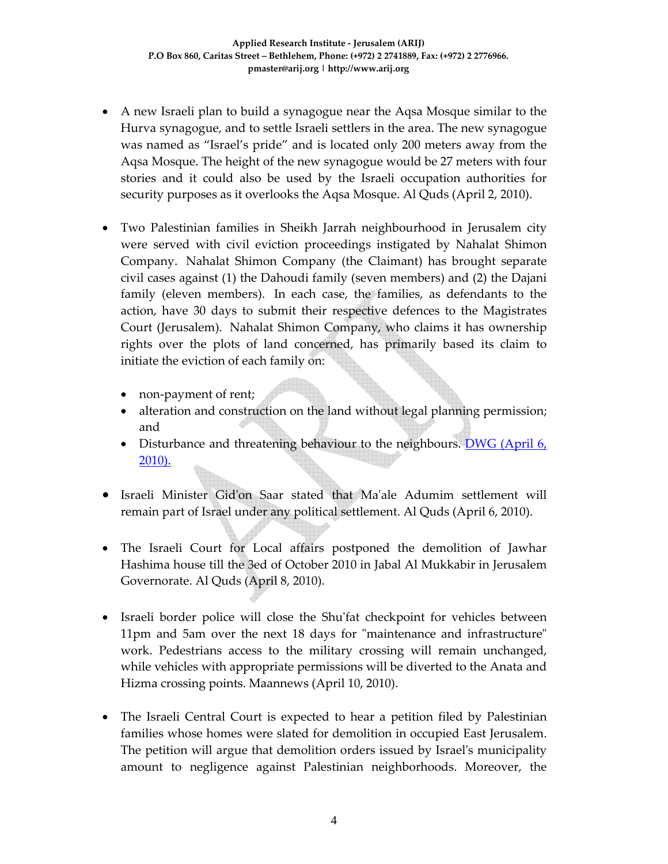- A new Israeli plan to build a synagogue near the Aqsa Mosque similar to the Hurva synagogue, and to settle Israeli settlers in the area. The new synagogue was named as "Israel's pride" and is located only 200 meters away from the Aqsa Mosque. The height of the new synagogue would be 27 meters with four stories and it could also be used by the Israeli occupation authorities for security purposes as it overlooks the Aqsa Mosque. Al Quds (April 2, 2010).
- Two Palestinian families in Sheikh Jarrah neighbourhood in Jerusalem city were served with civil eviction proceedings instigated by Nahalat Shimon Company. Nahalat Shimon Company (the Claimant) has brought separate civil cases against (1) the Dahoudi family (seven members) and (2) the Dajani family (eleven members). In each case, the families, as defendants to the action, have 30 days to submit their respective defences to the Magistrates Court (Jerusalem). Nahalat Shimon Company, who claims it has ownership rights over the plots of land concerned, has primarily based its claim to initiate the eviction of each family on:
	- non-payment of rent;
	- alteration and construction on the land without legal planning permission; and
	- Disturbance and threatening behaviour to the neighbours. DWG (April 6, 2010).
- Israeli Minister Gidʹon Saar stated that Maʹale Adumim settlement will remain part of Israel under any political settlement. Al Quds (April 6, 2010).
- The Israeli Court for Local affairs postponed the demolition of Jawhar Hashima house till the 3ed of October 2010 in Jabal Al Mukkabir in Jerusalem Governorate. Al Quds (April 8, 2010).
- Israeli border police will close the Shu'fat checkpoint for vehicles between 11pm and 5am over the next 18 days for "maintenance and infrastructure" work. Pedestrians access to the military crossing will remain unchanged, while vehicles with appropriate permissions will be diverted to the Anata and Hizma crossing points. Maannews (April 10, 2010).
- The Israeli Central Court is expected to hear a petition filed by Palestinian families whose homes were slated for demolition in occupied East Jerusalem. The petition will argue that demolition orders issued by Israelʹs municipality amount to negligence against Palestinian neighborhoods. Moreover, the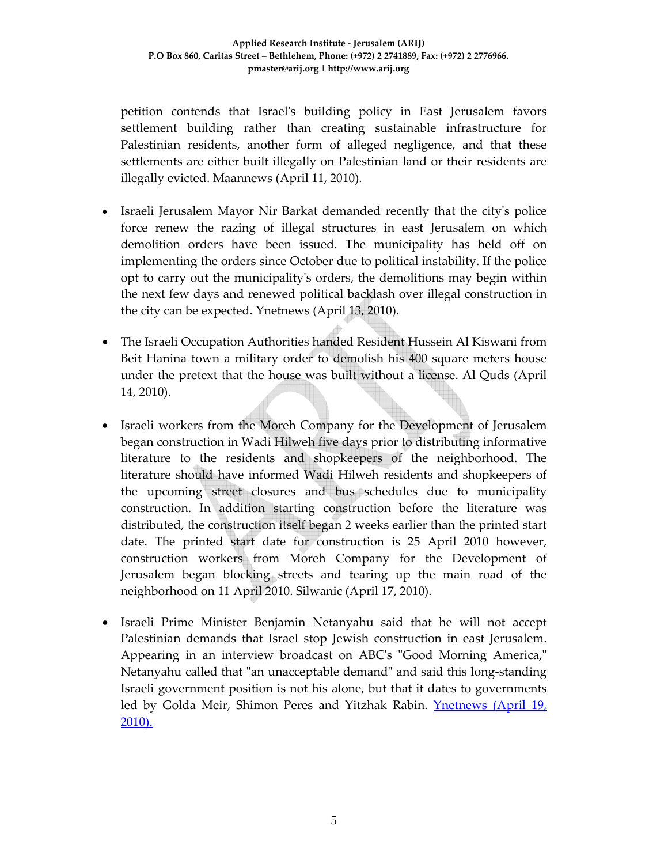petition contends that Israelʹs building policy in East Jerusalem favors settlement building rather than creating sustainable infrastructure for Palestinian residents, another form of alleged negligence, and that these settlements are either built illegally on Palestinian land or their residents are illegally evicted. Maannews (April 11, 2010).

- Israeli Jerusalem Mayor Nir Barkat demanded recently that the city's police force renew the razing of illegal structures in east Jerusalem on which demolition orders have been issued. The municipality has held off on implementing the orders since October due to political instability. If the police opt to carry out the municipalityʹs orders, the demolitions may begin within the next few days and renewed political backlash over illegal construction in the city can be expected. Ynetnews (April 13, 2010).
- The Israeli Occupation Authorities handed Resident Hussein Al Kiswani from Beit Hanina town a military order to demolish his 400 square meters house under the pretext that the house was built without a license. Al Quds (April 14, 2010).
- Israeli workers from the Moreh Company for the Development of Jerusalem began construction in Wadi Hilweh five days prior to distributing informative literature to the residents and shopkeepers of the neighborhood. The literature should have informed Wadi Hilweh residents and shopkeepers of the upcoming street closures and bus schedules due to municipality construction. In addition starting construction before the literature was distributed, the construction itself began 2 weeks earlier than the printed start date. The printed start date for construction is 25 April 2010 however, construction workers from Moreh Company for the Development of Jerusalem began blocking streets and tearing up the main road of the neighborhood on 11 April 2010. Silwanic (April 17, 2010).
- Israeli Prime Minister Benjamin Netanyahu said that he will not accept Palestinian demands that Israel stop Jewish construction in east Jerusalem. Appearing in an interview broadcast on ABC's "Good Morning America," Netanyahu called that "an unacceptable demand" and said this long-standing Israeli government position is not his alone, but that it dates to governments led by Golda Meir, Shimon Peres and Yitzhak Rabin. Ynetnews (April 19, 2010).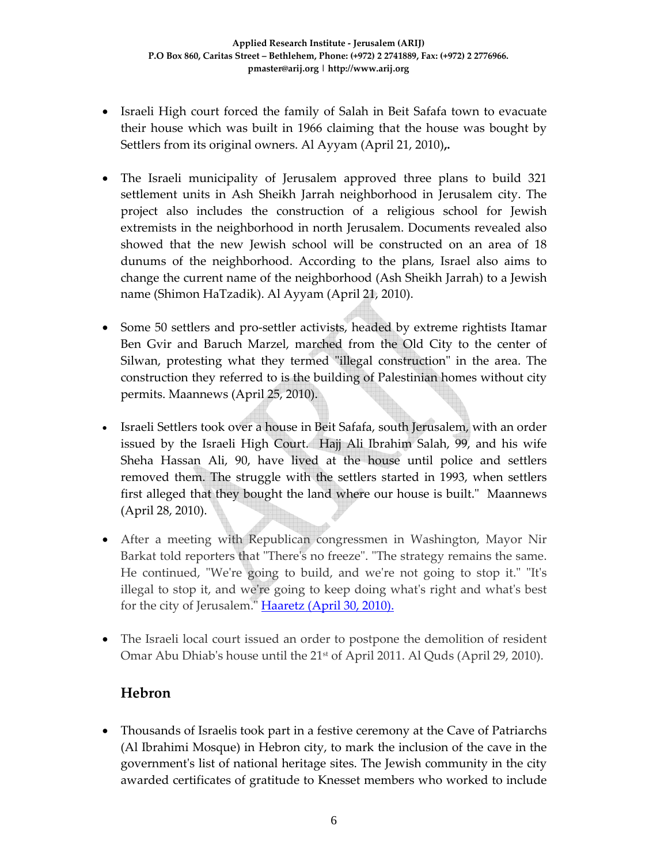- Israeli High court forced the family of Salah in Beit Safafa town to evacuate their house which was built in 1966 claiming that the house was bought by Settlers from its original owners. Al Ayyam (April 21, 2010)**,.**
- The Israeli municipality of Jerusalem approved three plans to build 321 settlement units in Ash Sheikh Jarrah neighborhood in Jerusalem city. The project also includes the construction of a religious school for Jewish extremists in the neighborhood in north Jerusalem. Documents revealed also showed that the new Jewish school will be constructed on an area of 18 dunums of the neighborhood. According to the plans, Israel also aims to change the current name of the neighborhood (Ash Sheikh Jarrah) to a Jewish name (Shimon HaTzadik). Al Ayyam (April 21, 2010).
- Some 50 settlers and pro-settler activists, headed by extreme rightists Itamar Ben Gvir and Baruch Marzel, marched from the Old City to the center of Silwan, protesting what they termed "illegal construction" in the area. The construction they referred to is the building of Palestinian homes without city permits. Maannews (April 25, 2010).
- Israeli Settlers took over a house in Beit Safafa, south Jerusalem, with an order issued by the Israeli High Court. Hajj Ali Ibrahim Salah, 99, and his wife Sheha Hassan Ali, 90, have lived at the house until police and settlers removed them. The struggle with the settlers started in 1993, when settlers first alleged that they bought the land where our house is built." Maannews (April 28, 2010).
- After a meeting with Republican congressmen in Washington, Mayor Nir Barkat told reporters that "There's no freeze". "The strategy remains the same. He continued, "We're going to build, and we're not going to stop it." "It's illegal to stop it, and weʹre going to keep doing whatʹs right and whatʹs best for the city of Jerusalem." Haaretz (April 30, 2010).
- The Israeli local court issued an order to postpone the demolition of resident Omar Abu Dhiab's house until the 21<sup>st</sup> of April 2011. Al Quds (April 29, 2010).

### **Hebron**

• Thousands of Israelis took part in a festive ceremony at the Cave of Patriarchs (Al Ibrahimi Mosque) in Hebron city, to mark the inclusion of the cave in the governmentʹs list of national heritage sites. The Jewish community in the city awarded certificates of gratitude to Knesset members who worked to include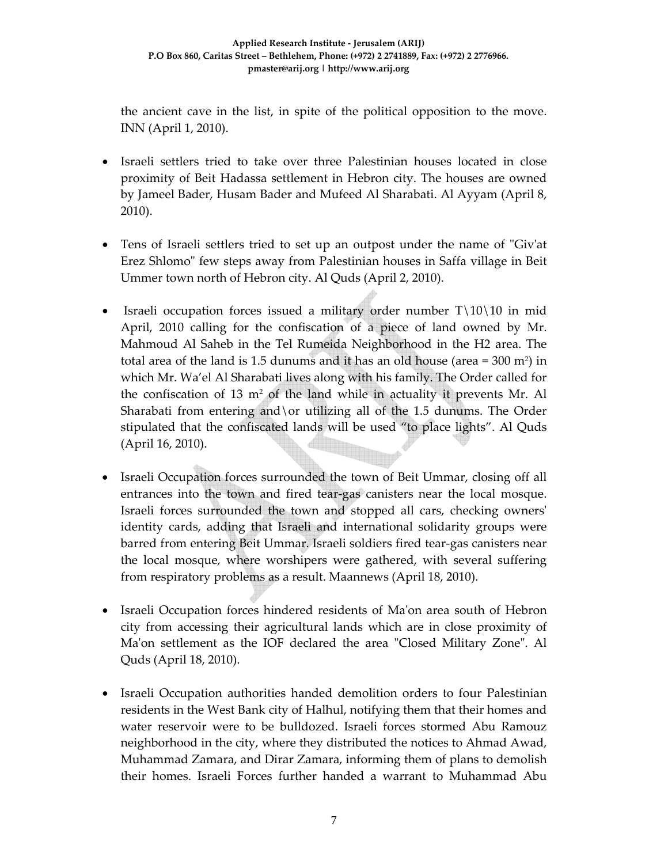the ancient cave in the list, in spite of the political opposition to the move. INN (April 1, 2010).

- Israeli settlers tried to take over three Palestinian houses located in close proximity of Beit Hadassa settlement in Hebron city. The houses are owned by Jameel Bader, Husam Bader and Mufeed Al Sharabati. Al Ayyam (April 8, 2010).
- Tens of Israeli settlers tried to set up an outpost under the name of "Giv'at Erez Shlomoʺ few steps away from Palestinian houses in Saffa village in Beit Ummer town north of Hebron city. Al Quds (April 2, 2010).
- Israeli occupation forces issued a military order number  $T\10\10$  in mid April, 2010 calling for the confiscation of a piece of land owned by Mr. Mahmoud Al Saheb in the Tel Rumeida Neighborhood in the H2 area. The total area of the land is 1.5 dunums and it has an old house (area = 300 m2 ) in which Mr. Wa'el Al Sharabati lives along with his family. The Order called for the confiscation of 13  $m<sup>2</sup>$  of the land while in actuality it prevents Mr. Al Sharabati from entering and\or utilizing all of the 1.5 dunums. The Order stipulated that the confiscated lands will be used "to place lights". Al Quds (April 16, 2010).
- Israeli Occupation forces surrounded the town of Beit Ummar, closing off all entrances into the town and fired tear‐gas canisters near the local mosque. Israeli forces surrounded the town and stopped all cars, checking ownersʹ identity cards, adding that Israeli and international solidarity groups were barred from entering Beit Ummar. Israeli soldiers fired tear‐gas canisters near the local mosque, where worshipers were gathered, with several suffering from respiratory problems as a result. Maannews (April 18, 2010).
- Israeli Occupation forces hindered residents of Ma'on area south of Hebron city from accessing their agricultural lands which are in close proximity of Ma'on settlement as the IOF declared the area "Closed Military Zone". Al Quds (April 18, 2010).
- Israeli Occupation authorities handed demolition orders to four Palestinian residents in the West Bank city of Halhul, notifying them that their homes and water reservoir were to be bulldozed. Israeli forces stormed Abu Ramouz neighborhood in the city, where they distributed the notices to Ahmad Awad, Muhammad Zamara, and Dirar Zamara, informing them of plans to demolish their homes. Israeli Forces further handed a warrant to Muhammad Abu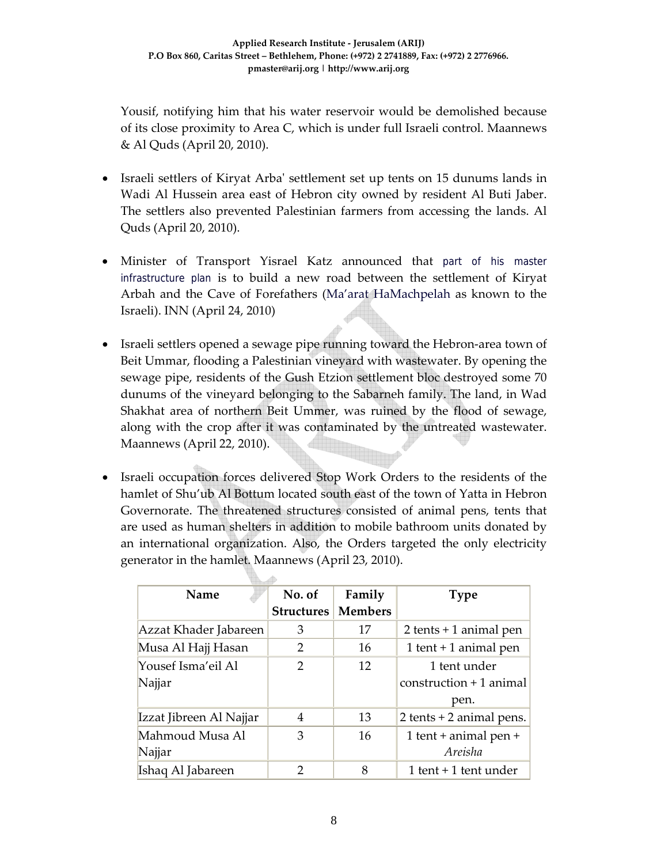Yousif, notifying him that his water reservoir would be demolished because of its close proximity to Area C, which is under full Israeli control. Maannews & Al Quds (April 20, 2010).

- Israeli settlers of Kiryat Arba' settlement set up tents on 15 dunums lands in Wadi Al Hussein area east of Hebron city owned by resident Al Buti Jaber. The settlers also prevented Palestinian farmers from accessing the lands. Al Quds (April 20, 2010).
- Minister of Transport Yisrael Katz announced that part of his master infrastructure plan is to build a new road between the settlement of Kiryat Arbah and the Cave of Forefathers (Ma'arat HaMachpelah as known to the Israeli). INN (April 24, 2010)
- Israeli settlers opened a sewage pipe running toward the Hebron-area town of Beit Ummar, flooding a Palestinian vineyard with wastewater. By opening the sewage pipe, residents of the Gush Etzion settlement bloc destroyed some 70 dunums of the vineyard belonging to the Sabarneh family. The land, in Wad Shakhat area of northern Beit Ummer, was ruined by the flood of sewage, along with the crop after it was contaminated by the untreated wastewater. Maannews (April 22, 2010).
- Israeli occupation forces delivered Stop Work Orders to the residents of the hamlet of Shu'ub Al Bottum located south east of the town of Yatta in Hebron Governorate. The threatened structures consisted of animal pens, tents that are used as human shelters in addition to mobile bathroom units donated by an international organization. Also, the Orders targeted the only electricity generator in the hamlet. Maannews (April 23, 2010).

| Name                    | No. of            | Family         | <b>Type</b>                  |  |  |  |  |  |
|-------------------------|-------------------|----------------|------------------------------|--|--|--|--|--|
|                         | <b>Structures</b> | <b>Members</b> |                              |  |  |  |  |  |
| Azzat Khader Jabareen   | 3                 | 17             | $2$ tents + 1 animal pen     |  |  |  |  |  |
| Musa Al Hajj Hasan      | 2                 | 16             | 1 tent + 1 animal pen        |  |  |  |  |  |
| Yousef Isma'eil Al      | $\mathcal{P}$     | 12             | 1 tent under                 |  |  |  |  |  |
| Najjar                  |                   |                | $construction + 1$ animal    |  |  |  |  |  |
|                         |                   |                | pen.                         |  |  |  |  |  |
| Izzat Jibreen Al Najjar | 4                 | 13             | $2$ tents + $2$ animal pens. |  |  |  |  |  |
| Mahmoud Musa Al         | 3                 | 16             | 1 tent + animal pen +        |  |  |  |  |  |
| Najjar                  |                   |                | Areisha                      |  |  |  |  |  |
| Ishaq Al Jabareen       | 2                 | 8              | 1 tent $+1$ tent under       |  |  |  |  |  |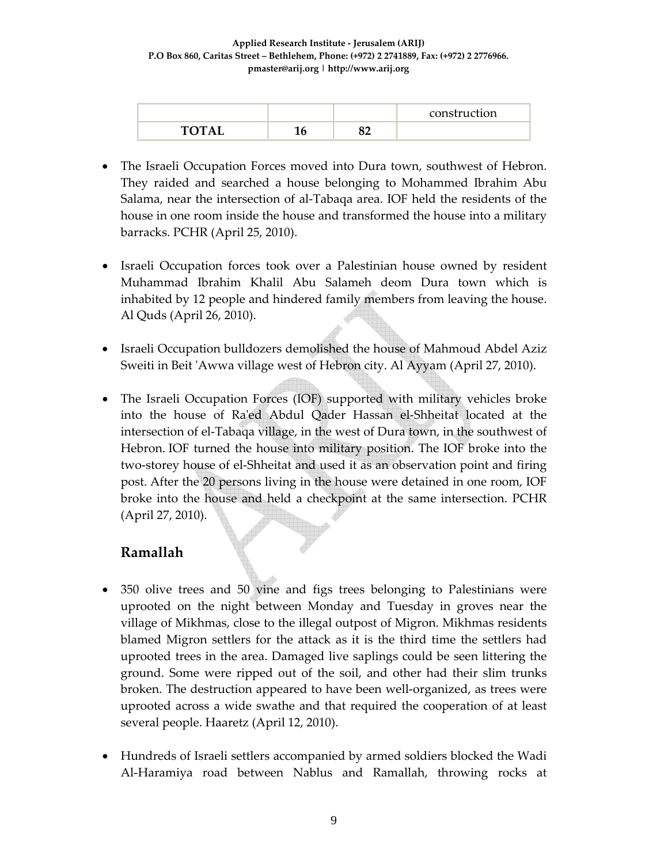|              |  | construction |
|--------------|--|--------------|
| $\mathbf{m}$ |  |              |

- The Israeli Occupation Forces moved into Dura town, southwest of Hebron. They raided and searched a house belonging to Mohammed Ibrahim Abu Salama, near the intersection of al‐Tabaqa area. IOF held the residents of the house in one room inside the house and transformed the house into a military barracks. PCHR (April 25, 2010).
- Israeli Occupation forces took over a Palestinian house owned by resident Muhammad Ibrahim Khalil Abu Salameh deom Dura town which is inhabited by 12 people and hindered family members from leaving the house. Al Quds (April 26, 2010).
- Israeli Occupation bulldozers demolished the house of Mahmoud Abdel Aziz Sweiti in Beit ʹAwwa village west of Hebron city. Al Ayyam (April 27, 2010).
- The Israeli Occupation Forces (IOF) supported with military vehicles broke into the house of Raʹed Abdul Qader Hassan el‐Shheitat located at the intersection of el‐Tabaqa village, in the west of Dura town, in the southwest of Hebron. IOF turned the house into military position. The IOF broke into the two‐storey house of el‐Shheitat and used it as an observation point and firing post. After the 20 persons living in the house were detained in one room, IOF broke into the house and held a checkpoint at the same intersection. PCHR (April 27, 2010).

### **Ramallah**

- 350 olive trees and 50 vine and figs trees belonging to Palestinians were uprooted on the night between Monday and Tuesday in groves near the village of Mikhmas, close to the illegal outpost of Migron. Mikhmas residents blamed Migron settlers for the attack as it is the third time the settlers had uprooted trees in the area. Damaged live saplings could be seen littering the ground. Some were ripped out of the soil, and other had their slim trunks broken. The destruction appeared to have been well‐organized, as trees were uprooted across a wide swathe and that required the cooperation of at least several people. Haaretz (April 12, 2010).
- Hundreds of Israeli settlers accompanied by armed soldiers blocked the Wadi Al‐Haramiya road between Nablus and Ramallah, throwing rocks at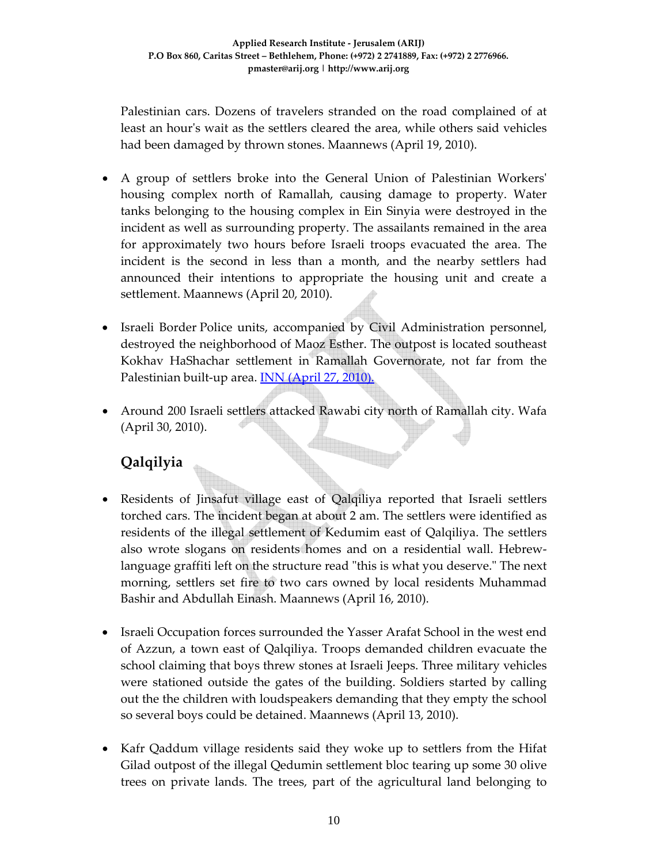Palestinian cars. Dozens of travelers stranded on the road complained of at least an hourʹs wait as the settlers cleared the area, while others said vehicles had been damaged by thrown stones. Maannews (April 19, 2010).

- A group of settlers broke into the General Union of Palestinian Workersʹ housing complex north of Ramallah, causing damage to property. Water tanks belonging to the housing complex in Ein Sinyia were destroyed in the incident as well as surrounding property. The assailants remained in the area for approximately two hours before Israeli troops evacuated the area. The incident is the second in less than a month, and the nearby settlers had announced their intentions to appropriate the housing unit and create a settlement. Maannews (April 20, 2010).
- Israeli Border Police units, accompanied by Civil Administration personnel, destroyed the neighborhood of Maoz Esther. The outpost is located southeast Kokhav HaShachar settlement in Ramallah Governorate, not far from the Palestinian built-up area. **INN (April 27, 2010).**
- Around 200 Israeli settlers attacked Rawabi city north of Ramallah city. Wafa (April 30, 2010).

# **Qalqilyia**

- Residents of Jinsafut village east of Qalqiliya reported that Israeli settlers torched cars. The incident began at about 2 am. The settlers were identified as residents of the illegal settlement of Kedumim east of Qalqiliya. The settlers also wrote slogans on residents homes and on a residential wall. Hebrew‐ language graffiti left on the structure read "this is what you deserve." The next morning, settlers set fire to two cars owned by local residents Muhammad Bashir and Abdullah Einash. Maannews (April 16, 2010).
- Israeli Occupation forces surrounded the Yasser Arafat School in the west end of Azzun, a town east of Qalqiliya. Troops demanded children evacuate the school claiming that boys threw stones at Israeli Jeeps. Three military vehicles were stationed outside the gates of the building. Soldiers started by calling out the the children with loudspeakers demanding that they empty the school so several boys could be detained. Maannews (April 13, 2010).
- Kafr Qaddum village residents said they woke up to settlers from the Hifat Gilad outpost of the illegal Qedumin settlement bloc tearing up some 30 olive trees on private lands. The trees, part of the agricultural land belonging to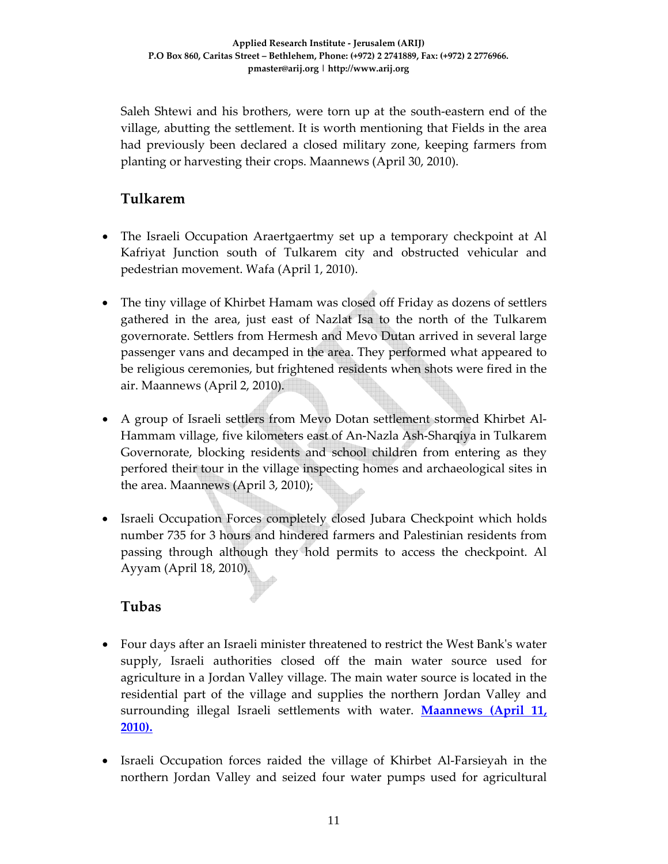Saleh Shtewi and his brothers, were torn up at the south‐eastern end of the village, abutting the settlement. It is worth mentioning that Fields in the area had previously been declared a closed military zone, keeping farmers from planting or harvesting their crops. Maannews (April 30, 2010).

### **Tulkarem**

- The Israeli Occupation Araertgaertmy set up a temporary checkpoint at Al Kafriyat Junction south of Tulkarem city and obstructed vehicular and pedestrian movement. Wafa (April 1, 2010).
- The tiny village of Khirbet Hamam was closed off Friday as dozens of settlers gathered in the area, just east of Nazlat Isa to the north of the Tulkarem governorate. Settlers from Hermesh and Mevo Dutan arrived in several large passenger vans and decamped in the area. They performed what appeared to be religious ceremonies, but frightened residents when shots were fired in the air. Maannews (April 2, 2010).
- A group of Israeli settlers from Mevo Dotan settlement stormed Khirbet Al-Hammam village, five kilometers east of An‐Nazla Ash‐Sharqiya in Tulkarem Governorate, blocking residents and school children from entering as they perfored their tour in the village inspecting homes and archaeological sites in the area. Maannews (April 3, 2010);
- Israeli Occupation Forces completely closed Jubara Checkpoint which holds number 735 for 3 hours and hindered farmers and Palestinian residents from passing through although they hold permits to access the checkpoint. Al Ayyam (April 18, 2010).

## **Tubas**

- Four days after an Israeli minister threatened to restrict the West Bankʹs water supply, Israeli authorities closed off the main water source used for agriculture in a Jordan Valley village. The main water source is located in the residential part of the village and supplies the northern Jordan Valley and surrounding illegal Israeli settlements with water. **Maannews (April 11, 2010).**
- Israeli Occupation forces raided the village of Khirbet Al‐Farsieyah in the northern Jordan Valley and seized four water pumps used for agricultural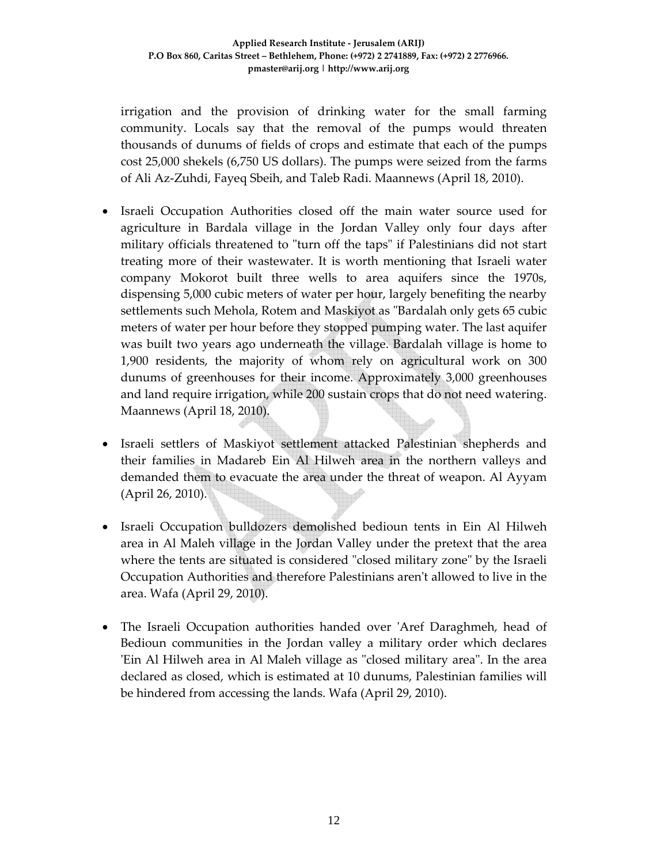irrigation and the provision of drinking water for the small farming community. Locals say that the removal of the pumps would threaten thousands of dunums of fields of crops and estimate that each of the pumps cost 25,000 shekels (6,750 US dollars). The pumps were seized from the farms of Ali Az‐Zuhdi, Fayeq Sbeih, and Taleb Radi. Maannews (April 18, 2010).

- Israeli Occupation Authorities closed off the main water source used for agriculture in Bardala village in the Jordan Valley only four days after military officials threatened to "turn off the taps" if Palestinians did not start treating more of their wastewater. It is worth mentioning that Israeli water company Mokorot built three wells to area aquifers since the 1970s, dispensing 5,000 cubic meters of water per hour, largely benefiting the nearby settlements such Mehola, Rotem and Maskiyot as "Bardalah only gets 65 cubic meters of water per hour before they stopped pumping water. The last aquifer was built two years ago underneath the village. Bardalah village is home to 1,900 residents, the majority of whom rely on agricultural work on 300 dunums of greenhouses for their income. Approximately 3,000 greenhouses and land require irrigation, while 200 sustain crops that do not need watering. Maannews (April 18, 2010).
- Israeli settlers of Maskiyot settlement attacked Palestinian shepherds and their families in Madareb Ein Al Hilweh area in the northern valleys and demanded them to evacuate the area under the threat of weapon. Al Ayyam (April 26, 2010).
- Israeli Occupation bulldozers demolished bedioun tents in Ein Al Hilweh area in Al Maleh village in the Jordan Valley under the pretext that the area where the tents are situated is considered "closed military zone" by the Israeli Occupation Authorities and therefore Palestinians arenʹt allowed to live in the area. Wafa (April 29, 2010).
- The Israeli Occupation authorities handed over 'Aref Daraghmeh, head of Bedioun communities in the Jordan valley a military order which declares 'Ein Al Hilweh area in Al Maleh village as "closed military area". In the area declared as closed, which is estimated at 10 dunums, Palestinian families will be hindered from accessing the lands. Wafa (April 29, 2010).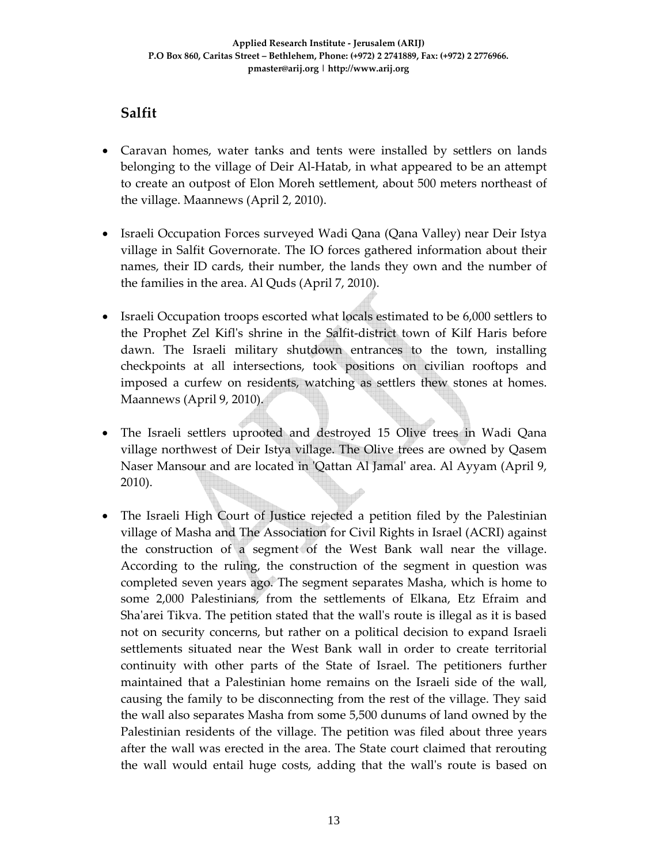## **Salfit**

- Caravan homes, water tanks and tents were installed by settlers on lands belonging to the village of Deir Al-Hatab, in what appeared to be an attempt to create an outpost of Elon Moreh settlement, about 500 meters northeast of the village. Maannews (April 2, 2010).
- Israeli Occupation Forces surveyed Wadi Qana (Qana Valley) near Deir Istya village in Salfit Governorate. The IO forces gathered information about their names, their ID cards, their number, the lands they own and the number of the families in the area. Al Quds (April 7, 2010).
- Israeli Occupation troops escorted what locals estimated to be 6,000 settlers to the Prophet Zel Kiflʹs shrine in the Salfit‐district town of Kilf Haris before dawn. The Israeli military shutdown entrances to the town, installing checkpoints at all intersections, took positions on civilian rooftops and imposed a curfew on residents, watching as settlers thew stones at homes. Maannews (April 9, 2010).
- The Israeli settlers uprooted and destroyed 15 Olive trees in Wadi Qana village northwest of Deir Istya village. The Olive trees are owned by Qasem Naser Mansour and are located in ʹQattan Al Jamalʹ area. Al Ayyam (April 9, 2010).
- The Israeli High Court of Justice rejected a petition filed by the Palestinian village of Masha and The Association for Civil Rights in Israel (ACRI) against the construction of a segment of the West Bank wall near the village. According to the ruling, the construction of the segment in question was completed seven years ago. The segment separates Masha, which is home to some 2,000 Palestinians, from the settlements of Elkana, Etz Efraim and Shaʹarei Tikva. The petition stated that the wallʹs route is illegal as it is based not on security concerns, but rather on a political decision to expand Israeli settlements situated near the West Bank wall in order to create territorial continuity with other parts of the State of Israel. The petitioners further maintained that a Palestinian home remains on the Israeli side of the wall, causing the family to be disconnecting from the rest of the village. They said the wall also separates Masha from some 5,500 dunums of land owned by the Palestinian residents of the village. The petition was filed about three years after the wall was erected in the area. The State court claimed that rerouting the wall would entail huge costs, adding that the wallʹs route is based on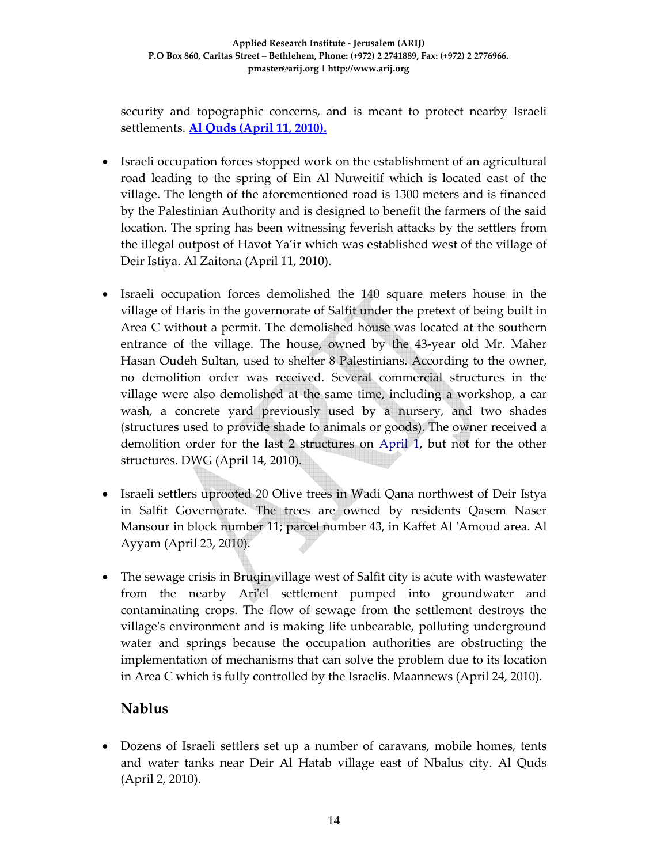security and topographic concerns, and is meant to protect nearby Israeli settlements. **Al Quds (April 11, 2010).**

- Israeli occupation forces stopped work on the establishment of an agricultural road leading to the spring of Ein Al Nuweitif which is located east of the village. The length of the aforementioned road is 1300 meters and is financed by the Palestinian Authority and is designed to benefit the farmers of the said location. The spring has been witnessing feverish attacks by the settlers from the illegal outpost of Havot Ya'ir which was established west of the village of Deir Istiya. Al Zaitona (April 11, 2010).
- Israeli occupation forces demolished the 140 square meters house in the village of Haris in the governorate of Salfit under the pretext of being built in Area C without a permit. The demolished house was located at the southern entrance of the village. The house, owned by the 43‐year old Mr. Maher Hasan Oudeh Sultan, used to shelter 8 Palestinians. According to the owner, no demolition order was received. Several commercial structures in the village were also demolished at the same time, including a workshop, a car wash, a concrete yard previously used by a nursery, and two shades (structures used to provide shade to animals or goods). The owner received a demolition order for the last 2 structures on April 1, but not for the other structures. DWG (April 14, 2010).
- Israeli settlers uprooted 20 Olive trees in Wadi Qana northwest of Deir Istya in Salfit Governorate. The trees are owned by residents Qasem Naser Mansour in block number 11; parcel number 43, in Kaffet Al ʹAmoud area. Al Ayyam (April 23, 2010).
- The sewage crisis in Bruqin village west of Salfit city is acute with wastewater from the nearby Ari'el settlement pumped into groundwater and contaminating crops. The flow of sewage from the settlement destroys the villageʹs environment and is making life unbearable, polluting underground water and springs because the occupation authorities are obstructing the implementation of mechanisms that can solve the problem due to its location in Area C which is fully controlled by the Israelis. Maannews (April 24, 2010).

### **Nablus**

• Dozens of Israeli settlers set up a number of caravans, mobile homes, tents and water tanks near Deir Al Hatab village east of Nbalus city. Al Quds (April 2, 2010).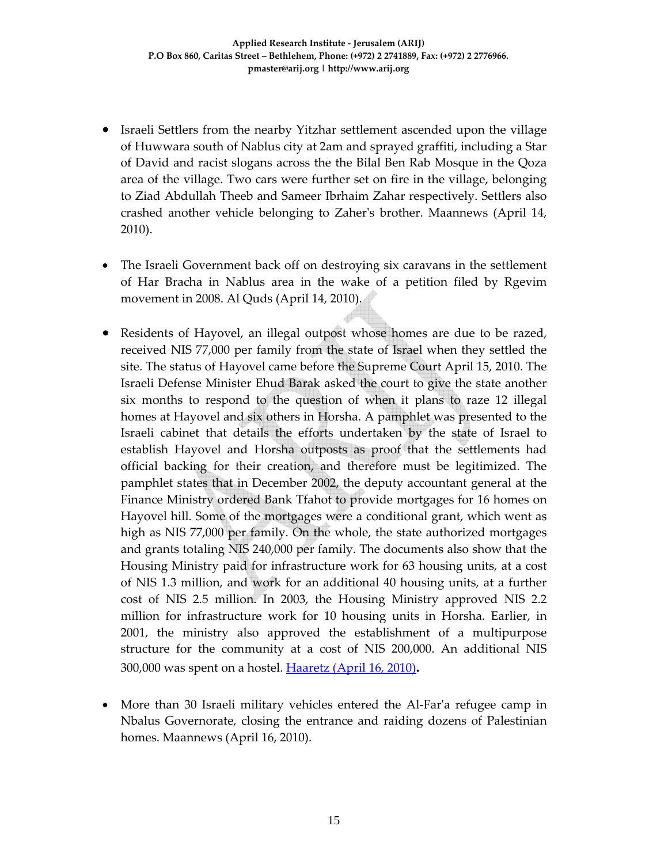- Israeli Settlers from the nearby Yitzhar settlement ascended upon the village of Huwwara south of Nablus city at 2am and sprayed graffiti, including a Star of David and racist slogans across the the Bilal Ben Rab Mosque in the Qoza area of the village. Two cars were further set on fire in the village, belonging to Ziad Abdullah Theeb and Sameer Ibrhaim Zahar respectively. Settlers also crashed another vehicle belonging to Zaherʹs brother. Maannews (April 14, 2010).
- The Israeli Government back off on destroying six caravans in the settlement of Har Bracha in Nablus area in the wake of a petition filed by Rgevim movement in 2008. Al Quds (April 14, 2010).
- Residents of Hayovel, an illegal outpost whose homes are due to be razed, received NIS 77,000 per family from the state of Israel when they settled the site. The status of Hayovel came before the Supreme Court April 15, 2010. The Israeli Defense Minister Ehud Barak asked the court to give the state another six months to respond to the question of when it plans to raze 12 illegal homes at Hayovel and six others in Horsha. A pamphlet was presented to the Israeli cabinet that details the efforts undertaken by the state of Israel to establish Hayovel and Horsha outposts as proof that the settlements had official backing for their creation, and therefore must be legitimized. The pamphlet states that in December 2002, the deputy accountant general at the Finance Ministry ordered Bank Tfahot to provide mortgages for 16 homes on Hayovel hill. Some of the mortgages were a conditional grant, which went as high as NIS 77,000 per family. On the whole, the state authorized mortgages and grants totaling NIS 240,000 per family. The documents also show that the Housing Ministry paid for infrastructure work for 63 housing units, at a cost of NIS 1.3 million, and work for an additional 40 housing units, at a further cost of NIS 2.5 million. In 2003, the Housing Ministry approved NIS 2.2 million for infrastructure work for 10 housing units in Horsha. Earlier, in 2001, the ministry also approved the establishment of a multipurpose structure for the community at a cost of NIS 200,000. An additional NIS 300,000 was spent on a hostel. Haaretz (April 16, 2010)**.**
- More than 30 Israeli military vehicles entered the Al-Far'a refugee camp in Nbalus Governorate, closing the entrance and raiding dozens of Palestinian homes. Maannews (April 16, 2010).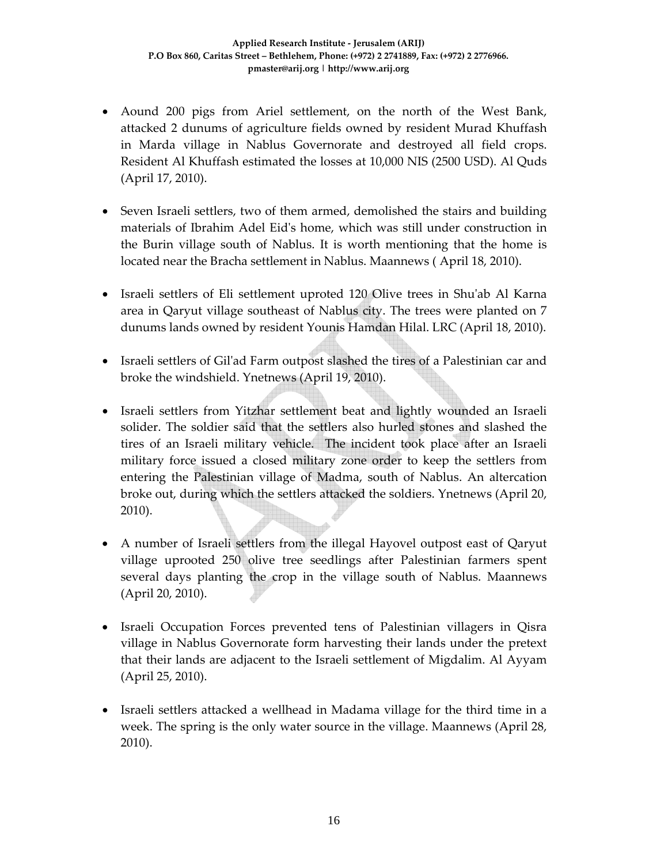- Aound 200 pigs from Ariel settlement, on the north of the West Bank, attacked 2 dunums of agriculture fields owned by resident Murad Khuffash in Marda village in Nablus Governorate and destroyed all field crops. Resident Al Khuffash estimated the losses at 10,000 NIS (2500 USD). Al Quds (April 17, 2010).
- Seven Israeli settlers, two of them armed, demolished the stairs and building materials of Ibrahim Adel Eidʹs home, which was still under construction in the Burin village south of Nablus. It is worth mentioning that the home is located near the Bracha settlement in Nablus. Maannews ( April 18, 2010).
- Israeli settlers of Eli settlement uproted 120 Olive trees in Shu'ab Al Karna area in Qaryut village southeast of Nablus city. The trees were planted on 7 dunums lands owned by resident Younis Hamdan Hilal. LRC (April 18, 2010).
- Israeli settlers of Gil'ad Farm outpost slashed the tires of a Palestinian car and broke the windshield. Ynetnews (April 19, 2010).
- Israeli settlers from Yitzhar settlement beat and lightly wounded an Israeli solider. The soldier said that the settlers also hurled stones and slashed the tires of an Israeli military vehicle. The incident took place after an Israeli military force issued a closed military zone order to keep the settlers from entering the Palestinian village of Madma, south of Nablus. An altercation broke out, during which the settlers attacked the soldiers. Ynetnews (April 20, 2010).
- A number of Israeli settlers from the illegal Hayovel outpost east of Qaryut village uprooted 250 olive tree seedlings after Palestinian farmers spent several days planting the crop in the village south of Nablus. Maannews (April 20, 2010).
- Israeli Occupation Forces prevented tens of Palestinian villagers in Qisra village in Nablus Governorate form harvesting their lands under the pretext that their lands are adjacent to the Israeli settlement of Migdalim. Al Ayyam (April 25, 2010).
- Israeli settlers attacked a wellhead in Madama village for the third time in a week. The spring is the only water source in the village. Maannews (April 28, 2010).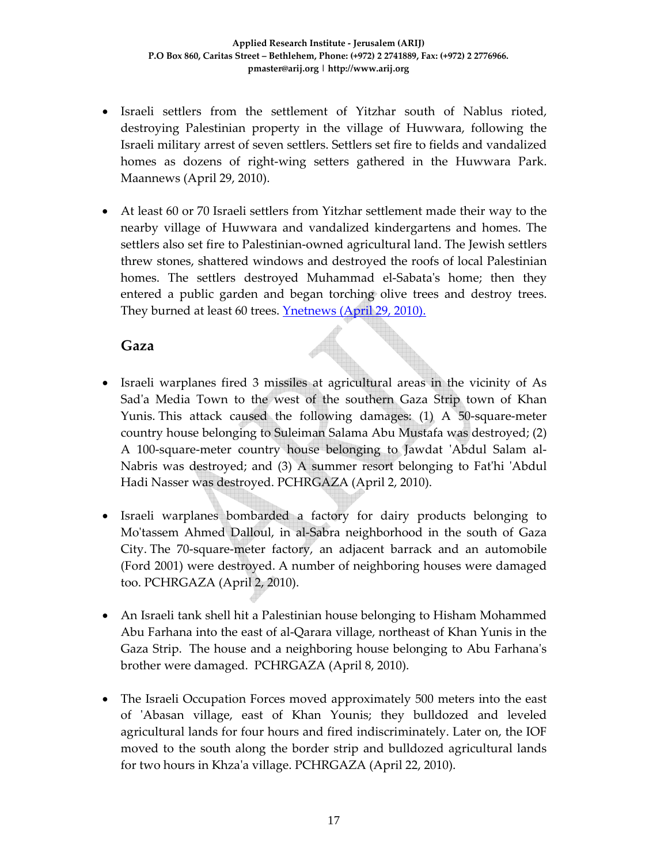- Israeli settlers from the settlement of Yitzhar south of Nablus rioted, destroying Palestinian property in the village of Huwwara, following the Israeli military arrest of seven settlers. Settlers set fire to fields and vandalized homes as dozens of right‐wing setters gathered in the Huwwara Park. Maannews (April 29, 2010).
- At least 60 or 70 Israeli settlers from Yitzhar settlement made their way to the nearby village of Huwwara and vandalized kindergartens and homes. The settlers also set fire to Palestinian‐owned agricultural land. The Jewish settlers threw stones, shattered windows and destroyed the roofs of local Palestinian homes. The settlers destroyed Muhammad el-Sabata's home; then they entered a public garden and began torching olive trees and destroy trees. They burned at least 60 trees. Ynetnews (April 29, 2010).

### **Gaza**

- Israeli warplanes fired 3 missiles at agricultural areas in the vicinity of As Sad'a Media Town to the west of the southern Gaza Strip town of Khan Yunis. This attack caused the following damages:  $(1)$  A 50-square-meter country house belonging to Suleiman Salama Abu Mustafa was destroyed; (2) A 100‐square‐meter country house belonging to Jawdat ʹAbdul Salam al‐ Nabris was destroyed; and (3) A summer resort belonging to Fat'hi 'Abdul Hadi Nasser was destroyed. PCHRGAZA (April 2, 2010).
- Israeli warplanes bombarded a factory for dairy products belonging to Moʹtassem Ahmed Dalloul, in al‐Sabra neighborhood in the south of Gaza City. The 70‐square‐meter factory, an adjacent barrack and an automobile (Ford 2001) were destroyed. A number of neighboring houses were damaged too. PCHRGAZA (April 2, 2010).
- An Israeli tank shell hit a Palestinian house belonging to Hisham Mohammed Abu Farhana into the east of al‐Qarara village, northeast of Khan Yunis in the Gaza Strip. The house and a neighboring house belonging to Abu Farhanaʹs brother were damaged. PCHRGAZA (April 8, 2010).
- The Israeli Occupation Forces moved approximately 500 meters into the east of 'Abasan village, east of Khan Younis; they bulldozed and leveled agricultural lands for four hours and fired indiscriminately. Later on, the IOF moved to the south along the border strip and bulldozed agricultural lands for two hours in Khzaʹa village. PCHRGAZA (April 22, 2010).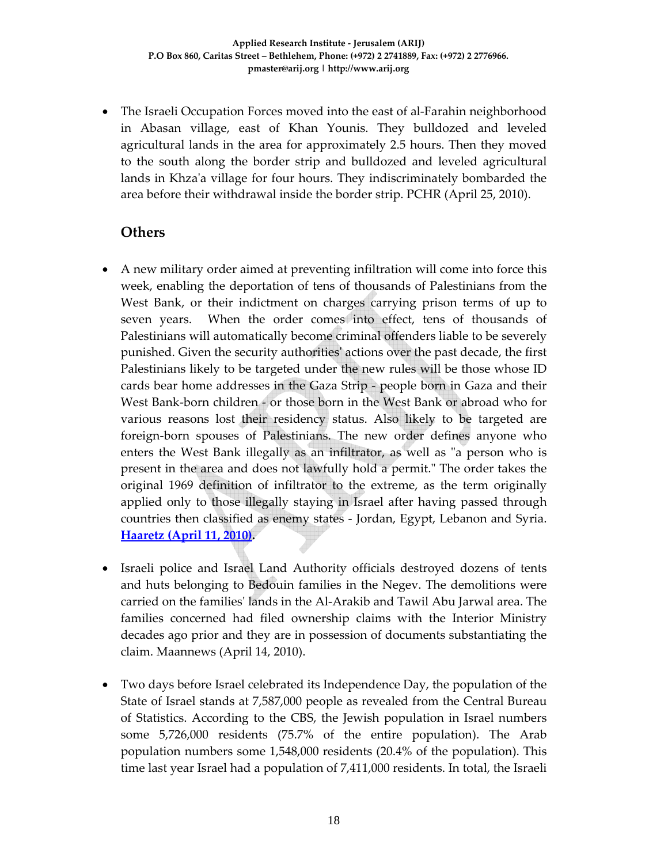• The Israeli Occupation Forces moved into the east of al-Farahin neighborhood in Abasan village, east of Khan Younis. They bulldozed and leveled agricultural lands in the area for approximately 2.5 hours. Then they moved to the south along the border strip and bulldozed and leveled agricultural lands in Khza'a village for four hours. They indiscriminately bombarded the area before their withdrawal inside the border strip. PCHR (April 25, 2010).

## **Others**

- A new military order aimed at preventing infiltration will come into force this week, enabling the deportation of tens of thousands of Palestinians from the West Bank, or their indictment on charges carrying prison terms of up to seven years. When the order comes into effect, tens of thousands of Palestinians will automatically become criminal offenders liable to be severely punished. Given the security authoritiesʹ actions over the past decade, the first Palestinians likely to be targeted under the new rules will be those whose ID cards bear home addresses in the Gaza Strip ‐ people born in Gaza and their West Bank‐born children ‐ or those born in the West Bank or abroad who for various reasons lost their residency status. Also likely to be targeted are foreign‐born spouses of Palestinians. The new order defines anyone who enters the West Bank illegally as an infiltrator, as well as "a person who is present in the area and does not lawfully hold a permit." The order takes the original 1969 definition of infiltrator to the extreme, as the term originally applied only to those illegally staying in Israel after having passed through countries then classified as enemy states ‐ Jordan, Egypt, Lebanon and Syria. **Haaretz (April 11, 2010).**
- Israeli police and Israel Land Authority officials destroyed dozens of tents and huts belonging to Bedouin families in the Negev. The demolitions were carried on the familiesʹ lands in the Al‐Arakib and Tawil Abu Jarwal area. The families concerned had filed ownership claims with the Interior Ministry decades ago prior and they are in possession of documents substantiating the claim. Maannews (April 14, 2010).
- Two days before Israel celebrated its Independence Day, the population of the State of Israel stands at 7,587,000 people as revealed from the Central Bureau of Statistics. According to the CBS, the Jewish population in Israel numbers some 5,726,000 residents (75.7% of the entire population). The Arab population numbers some 1,548,000 residents (20.4% of the population). This time last year Israel had a population of 7,411,000 residents. In total, the Israeli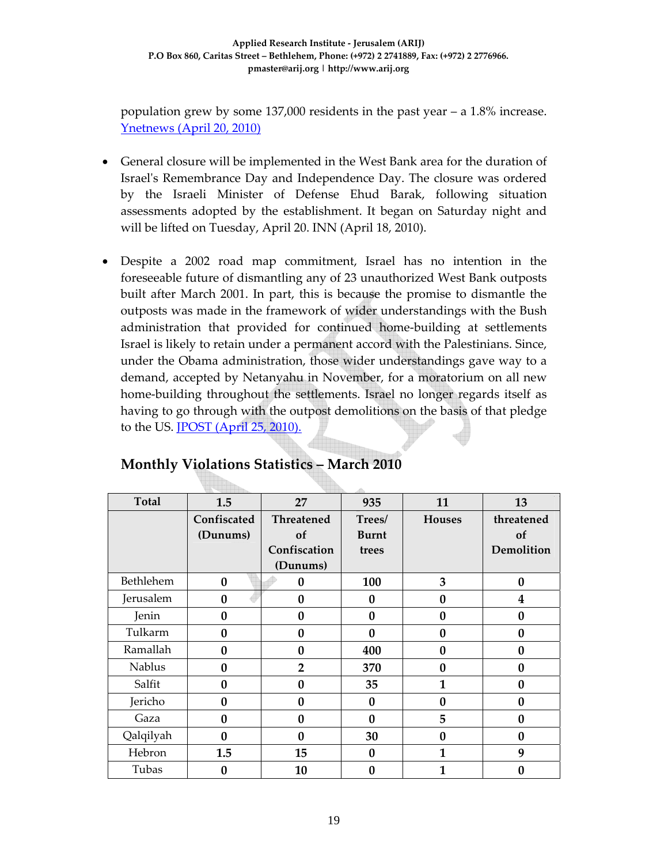population grew by some 137,000 residents in the past year – a 1.8% increase. Ynetnews (April 20, 2010)

- General closure will be implemented in the West Bank area for the duration of Israelʹs Remembrance Day and Independence Day. The closure was ordered by the Israeli Minister of Defense Ehud Barak, following situation assessments adopted by the establishment. It began on Saturday night and will be lifted on Tuesday, April 20. INN (April 18, 2010).
- Despite a 2002 road map commitment, Israel has no intention in the foreseeable future of dismantling any of 23 unauthorized West Bank outposts built after March 2001. In part, this is because the promise to dismantle the outposts was made in the framework of wider understandings with the Bush administration that provided for continued home‐building at settlements Israel is likely to retain under a permanent accord with the Palestinians. Since, under the Obama administration, those wider understandings gave way to a demand, accepted by Netanyahu in November, for a moratorium on all new home-building throughout the settlements. Israel no longer regards itself as having to go through with the outpost demolitions on the basis of that pledge to the US. JPOST (April 25, 2010).

| <b>Total</b>  | 1.5          | 27                | 935          | 11            | 13         |
|---------------|--------------|-------------------|--------------|---------------|------------|
|               | Confiscated  | <b>Threatened</b> | Trees/       | <b>Houses</b> | threatened |
|               | (Dunums)     | of                | <b>Burnt</b> |               | of         |
|               |              | Confiscation      | trees        |               | Demolition |
|               |              | (Dunums)          |              |               |            |
| Bethlehem     | $\bf{0}$     | 0                 | 100          | 3             | $\bf{0}$   |
| Jerusalem     | $\mathbf{0}$ | $\bf{0}$          | $\mathbf{0}$ | $\bf{0}$      | 4          |
| Jenin         | $\bf{0}$     | $\boldsymbol{0}$  | $\mathbf{0}$ | $\bf{0}$      | $\bf{0}$   |
| Tulkarm       | 0            | $\bf{0}$          | $\Omega$     | 0             | $\bf{0}$   |
| Ramallah      | $\bf{0}$     | $\bf{0}$          | 400          | $\bf{0}$      | $\bf{0}$   |
| <b>Nablus</b> | $\mathbf{0}$ | $\overline{2}$    | 370          | $\bf{0}$      | $\bf{0}$   |
| Salfit        | $\bf{0}$     | $\bf{0}$          | 35           | 1             | $\bf{0}$   |
| Jericho       | $\bf{0}$     | $\bf{0}$          | $\mathbf{0}$ | $\bf{0}$      | $\bf{0}$   |
| Gaza          | $\mathbf{0}$ | $\boldsymbol{0}$  | $\mathbf{0}$ | 5             | $\bf{0}$   |
| Qalqilyah     | 0            | $\boldsymbol{0}$  | 30           | 0             | $\bf{0}$   |
| Hebron        | 1.5          | 15                | $\bf{0}$     | 1             | 9          |
| Tubas         | 0            | 10                | $\bf{0}$     | 1             | 0          |

# **Monthly Violations Statistics – March 2010**